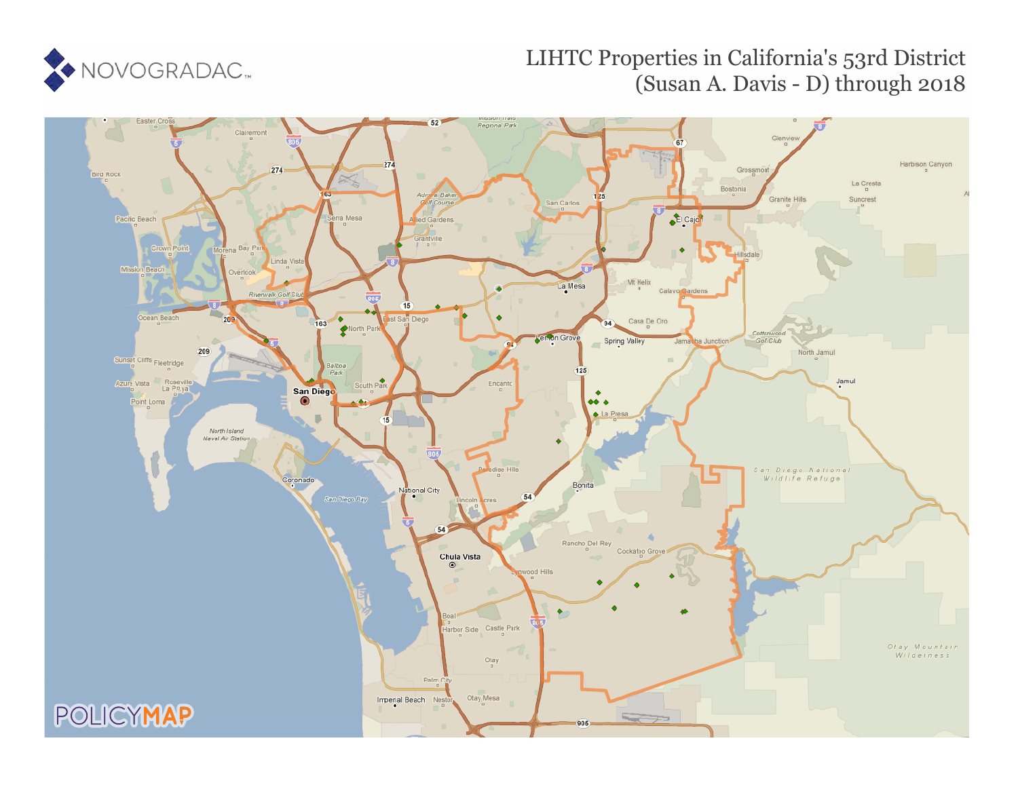

# LIHTC Properties in California's 53rd District (Susan A. Davis - D) through 2018

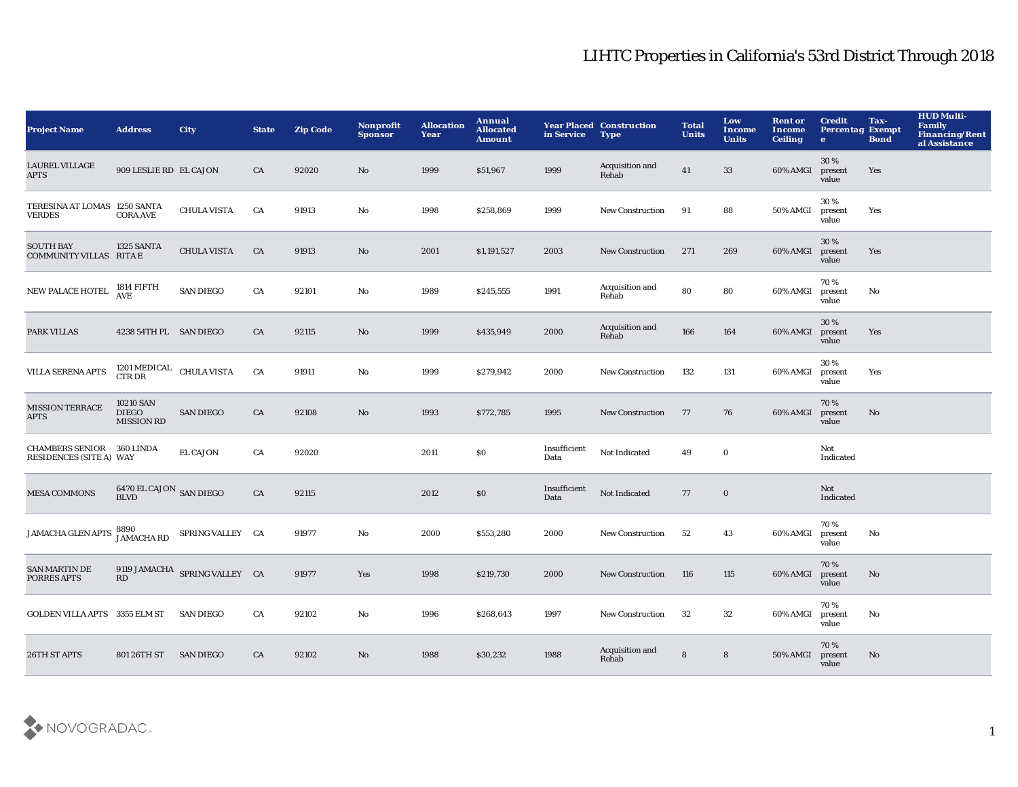| <b>Project Name</b>                               | <b>Address</b>                                 | City                          | <b>State</b> | <b>Zip Code</b> | <b>Nonprofit</b><br><b>Sponsor</b> | <b>Allocation</b><br>Year | Annual<br><b>Allocated</b><br><b>Amount</b> | in Service           | <b>Year Placed Construction</b><br><b>Type</b> | <b>Total</b><br><b>Units</b> | Low<br><b>Income</b><br><b>Units</b> | <b>Rent or</b><br>Income<br><b>Ceiling</b> | <b>Credit</b><br><b>Percentag Exempt</b><br>$\bullet$ | Tax-<br><b>Bond</b> | <b>HUD Multi-</b><br><b>Family</b><br><b>Financing/Rent</b><br>al Assistance |
|---------------------------------------------------|------------------------------------------------|-------------------------------|--------------|-----------------|------------------------------------|---------------------------|---------------------------------------------|----------------------|------------------------------------------------|------------------------------|--------------------------------------|--------------------------------------------|-------------------------------------------------------|---------------------|------------------------------------------------------------------------------|
| <b>LAUREL VILLAGE</b><br><b>APTS</b>              | 909 LESLIE RD EL CAJON                         |                               | CA           | 92020           | No                                 | 1999                      | \$51,967                                    | 1999                 | Acquisition and<br>Rehab                       | 41                           | $33\,$                               | 60% AMGI                                   | 30%<br>present<br>value                               | Yes                 |                                                                              |
| TERESINA AT LOMAS 1250 SANTA<br><b>VERDES</b>     | <b>CORA AVE</b>                                | <b>CHULA VISTA</b>            | CA           | 91913           | No                                 | 1998                      | \$258,869                                   | 1999                 | New Construction                               | 91                           | 88                                   | <b>50% AMGI</b>                            | 30%<br>present<br>value                               | Yes                 |                                                                              |
| <b>SOUTH BAY</b><br>COMMUNITY VILLAS RITA E       | 1325 SANTA                                     | <b>CHULA VISTA</b>            | CA           | 91913           | No                                 | 2001                      | \$1,191,527                                 | 2003                 | <b>New Construction</b>                        | 271                          | 269                                  | 60% AMGI                                   | 30 %<br>present<br>value                              | Yes                 |                                                                              |
| NEW PALACE HOTEL                                  | 1814 FIFTH<br><b>AVE</b>                       | <b>SAN DIEGO</b>              | CA           | 92101           | No                                 | 1989                      | \$245,555                                   | 1991                 | Acquisition and<br>Rehab                       | 80                           | 80                                   | 60% AMGI                                   | 70%<br>present<br>value                               | No                  |                                                                              |
| PARK VILLAS                                       | 4238 54TH PL SAN DIEGO                         |                               | CA           | 92115           | No                                 | 1999                      | \$435,949                                   | 2000                 | Acquisition and<br>Rehab                       | 166                          | 164                                  | 60% AMGI                                   | 30%<br>present<br>value                               | Yes                 |                                                                              |
| <b>VILLA SERENA APTS</b>                          | $1201\,\mathrm{MEDICAL}$ CHULA VISTA CTR DR    |                               | CA           | 91911           | No                                 | 1999                      | \$279,942                                   | 2000                 | <b>New Construction</b>                        | 132                          | 131                                  | 60% AMGI                                   | 30%<br>present<br>value                               | Yes                 |                                                                              |
| <b>MISSION TERRACE</b><br>APTS                    | 10210 SAN<br><b>DIEGO</b><br><b>MISSION RD</b> | <b>SAN DIEGO</b>              | CA           | 92108           | No                                 | 1993                      | \$772,785                                   | 1995                 | <b>New Construction</b>                        | 77                           | 76                                   | 60% AMGI                                   | 70%<br>present<br>value                               | No                  |                                                                              |
| <b>CHAMBERS SENIOR</b><br>RESIDENCES (SITE A) WAY | <b>360 LINDA</b>                               | <b>EL CAJON</b>               | CA           | 92020           |                                    | 2011                      | \$0\$                                       | Insufficient<br>Data | Not Indicated                                  | 49                           | $\mathbf 0$                          |                                            | Not<br>Indicated                                      |                     |                                                                              |
| <b>MESA COMMONS</b>                               | $6470\,$ EL CAJON $\,$ SAN DIEGO BLVD          |                               | CA           | 92115           |                                    | 2012                      | \$0\$                                       | Insufficient<br>Data | Not Indicated                                  | 77                           | $\mathbf 0$                          |                                            | Not<br>Indicated                                      |                     |                                                                              |
| JAMACHA GLEN APTS 8890<br>JAMACHA RD              |                                                | SPRING VALLEY CA              |              | 91977           | $\mathbf{N}\mathbf{o}$             | 2000                      | \$553,280                                   | 2000                 | <b>New Construction</b>                        | 52                           | 43                                   | 60% AMGI                                   | 70%<br>present<br>value                               | No                  |                                                                              |
| <b>SAN MARTIN DE</b><br>PORRES APTS               | RD                                             | 9119 JAMACHA SPRING VALLEY CA |              | 91977           | Yes                                | 1998                      | \$219,730                                   | 2000                 | <b>New Construction</b>                        | 116                          | 115                                  | 60% AMGI                                   | 70%<br>present<br>value                               | No                  |                                                                              |
| GOLDEN VILLA APTS 3355 ELM ST                     |                                                | <b>SAN DIEGO</b>              | CA           | 92102           | No                                 | 1996                      | \$268,643                                   | 1997                 | <b>New Construction</b>                        | 32                           | 32                                   | 60% AMGI                                   | 70%<br>present<br>value                               | No                  |                                                                              |
| 26TH ST APTS                                      | 801 26TH ST                                    | <b>SAN DIEGO</b>              | CA           | 92102           | No                                 | 1988                      | \$30,232                                    | 1988                 | Acquisition and<br>Rehab                       | ${\bf 8}$                    | ${\bf 8}$                            | 50% AMGI                                   | 70%<br>present<br>value                               | No                  |                                                                              |

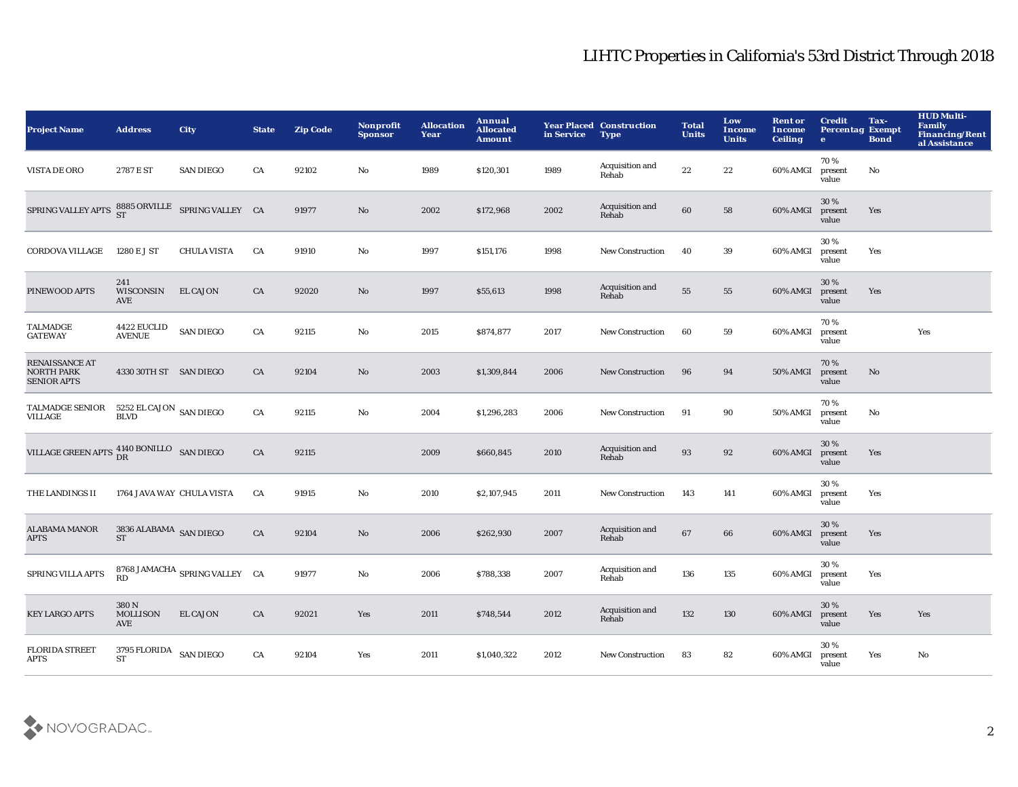| <b>Project Name</b>                                        | <b>Address</b>                        | <b>City</b>                   | <b>State</b> | <b>Zip Code</b> | Nonprofit<br><b>Sponsor</b> | <b>Allocation</b><br>Year | Annual<br><b>Allocated</b><br><b>Amount</b> | in Service | <b>Year Placed Construction</b><br><b>Type</b> | <b>Total</b><br><b>Units</b> | Low<br><b>Income</b><br><b>Units</b> | <b>Rent or</b><br>Income<br><b>Ceiling</b> | <b>Credit</b><br><b>Percentag Exempt</b><br>$\bullet$ | Tax-<br><b>Bond</b> | <b>HUD Multi-</b><br><b>Family</b><br><b>Financing/Rent</b><br>al Assistance |
|------------------------------------------------------------|---------------------------------------|-------------------------------|--------------|-----------------|-----------------------------|---------------------------|---------------------------------------------|------------|------------------------------------------------|------------------------------|--------------------------------------|--------------------------------------------|-------------------------------------------------------|---------------------|------------------------------------------------------------------------------|
| VISTA DE ORO                                               | 2787 E ST                             | <b>SAN DIEGO</b>              | CA           | 92102           | No                          | 1989                      | \$120,301                                   | 1989       | Acquisition and<br>Rehab                       | $2\sqrt{2}$                  | 22                                   | 60% AMGI                                   | 70%<br>present<br>value                               | No                  |                                                                              |
| SPRING VALLEY APTS $^{8885}_{ST}$ ORVILLE SPRING VALLEY CA |                                       |                               |              | 91977           | $\mathbf{N}\mathbf{o}$      | 2002                      | \$172,968                                   | 2002       | Acquisition and<br>Rehab                       | 60                           | 58                                   | 60% AMGI                                   | 30%<br>present<br>value                               | Yes                 |                                                                              |
| CORDOVA VILLAGE                                            | 1280 E J ST                           | <b>CHULA VISTA</b>            | CA           | 91910           | $\mathbf {No}$              | 1997                      | \$151,176                                   | 1998       | <b>New Construction</b>                        | 40                           | 39                                   | 60% AMGI                                   | 30%<br>present<br>value                               | Yes                 |                                                                              |
| PINEWOOD APTS                                              | 241<br>WISCONSIN<br>AVE               | <b>EL CAJON</b>               | CA           | 92020           | No                          | 1997                      | \$55,613                                    | 1998       | Acquisition and<br>Rehab                       | ${\bf 55}$                   | 55                                   | 60% AMGI                                   | 30 %<br>present<br>value                              | Yes                 |                                                                              |
| <b>TALMADGE</b><br><b>GATEWAY</b>                          | 4422 EUCLID<br><b>AVENUE</b>          | <b>SAN DIEGO</b>              | CA           | 92115           | No                          | 2015                      | \$874,877                                   | 2017       | <b>New Construction</b>                        | 60                           | 59                                   | 60% AMGI                                   | 70%<br>present<br>value                               |                     | Yes                                                                          |
| RENAISSANCE AT<br><b>NORTH PARK</b><br><b>SENIOR APTS</b>  | 4330 30TH ST SAN DIEGO                |                               | CA           | 92104           | $\mathbf{N}\mathbf{o}$      | 2003                      | \$1,309,844                                 | 2006       | <b>New Construction</b>                        | 96                           | 94                                   | 50% AMGI                                   | 70%<br>present<br>value                               | No                  |                                                                              |
| <b>TALMADGE SENIOR</b><br>VILLAGE                          | 5252 EL CAJON SAN DIEGO<br>BLVD       |                               | ${\rm CA}$   | 92115           | $\mathbf{No}$               | 2004                      | \$1,296,283                                 | 2006       | <b>New Construction</b>                        | 91                           | 90                                   | 50% AMGI                                   | 70%<br>present<br>value                               | No                  |                                                                              |
| VILLAGE GREEN APTS $^{4140}_{DR}$ BONILLO SAN DIEGO        |                                       |                               | ${\rm CA}$   | 92115           |                             | 2009                      | \$660,845                                   | 2010       | Acquisition and<br>Rehab                       | 93                           | $\bf{92}$                            | 60% AMGI                                   | 30%<br>present<br>value                               | Yes                 |                                                                              |
| THE LANDINGS II                                            | 1764 JAVA WAY CHULA VISTA             |                               | CA           | 91915           | $\mathbf{No}$               | 2010                      | \$2,107,945                                 | 2011       | New Construction                               | 143                          | 141                                  | 60% AMGI                                   | 30%<br>present<br>value                               | Yes                 |                                                                              |
| <b>ALABAMA MANOR</b><br><b>APTS</b>                        | $3836$ ALABAMA $\,$ SAN DIEGO $\,$ ST |                               | ${\rm CA}$   | 92104           | $\mathbf{N}\mathbf{o}$      | 2006                      | \$262,930                                   | 2007       | Acquisition and<br>Rehab                       | 67                           | 66                                   | 60% AMGI                                   | 30%<br>present<br>value                               | Yes                 |                                                                              |
| SPRING VILLA APTS                                          | RD                                    | 8768 JAMACHA SPRING VALLEY CA |              | 91977           | No                          | 2006                      | \$788,338                                   | 2007       | Acquisition and<br>Rehab                       | 136                          | 135                                  | 60% AMGI                                   | 30%<br>present<br>value                               | Yes                 |                                                                              |
| <b>KEY LARGO APTS</b>                                      | 380 N<br><b>MOLLISON</b><br>AVE       | <b>EL CAJON</b>               | CA           | 92021           | Yes                         | 2011                      | \$748,544                                   | 2012       | Acquisition and<br>Rehab                       | 132                          | 130                                  | 60% AMGI                                   | 30%<br>present<br>value                               | Yes                 | Yes                                                                          |
| <b>FLORIDA STREET</b><br>APTS                              | 3795 FLORIDA SAN DIEGO<br><b>ST</b>   |                               | CA           | 92104           | Yes                         | 2011                      | \$1,040,322                                 | 2012       | <b>New Construction</b>                        | 83                           | 82                                   | 60% AMGI                                   | 30%<br>present<br>value                               | Yes                 | No                                                                           |

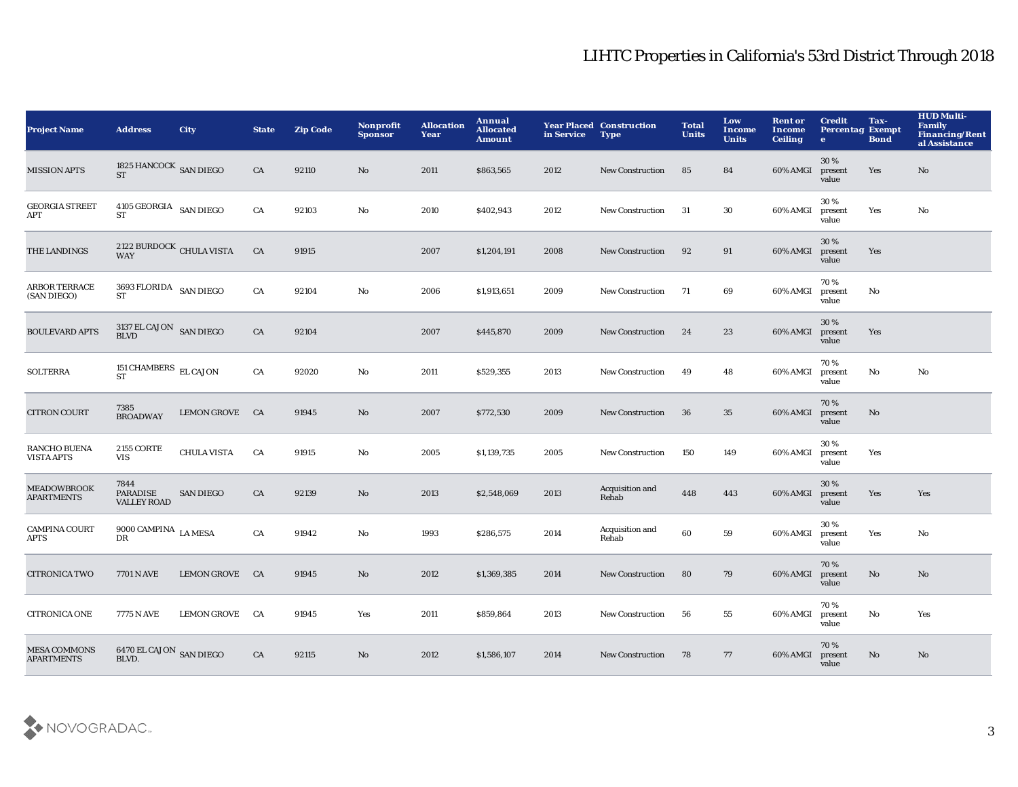| <b>Project Name</b>                      | <b>Address</b>                                    | City               | <b>State</b> | <b>Zip Code</b> | Nonprofit<br><b>Sponsor</b> | <b>Allocation</b><br>Year | Annual<br><b>Allocated</b><br>Amount | in Service | <b>Year Placed Construction</b><br><b>Type</b> | <b>Total</b><br><b>Units</b> | Low<br><b>Income</b><br><b>Units</b> | <b>Rent or</b><br>Income<br><b>Ceiling</b> | <b>Credit</b><br><b>Percentag Exempt</b><br>$\bullet$ | Tax-<br><b>Bond</b> | <b>HUD Multi-</b><br><b>Family</b><br><b>Financing/Rent</b><br>al Assistance |
|------------------------------------------|---------------------------------------------------|--------------------|--------------|-----------------|-----------------------------|---------------------------|--------------------------------------|------------|------------------------------------------------|------------------------------|--------------------------------------|--------------------------------------------|-------------------------------------------------------|---------------------|------------------------------------------------------------------------------|
| <b>MISSION APTS</b>                      | 1825 HANCOCK SAN DIEGO<br><b>ST</b>               |                    | CA           | 92110           | No                          | 2011                      | \$863,565                            | 2012       | <b>New Construction</b>                        | 85                           | 84                                   | 60% AMGI                                   | 30%<br>present<br>value                               | Yes                 | No                                                                           |
| <b>GEORGIA STREET</b><br>APT             | 4105 GEORGIA SAN DIEGO<br><b>ST</b>               |                    | CA           | 92103           | $\rm No$                    | 2010                      | \$402,943                            | 2012       | <b>New Construction</b>                        | 31                           | 30                                   | 60% AMGI                                   | 30%<br>present<br>value                               | Yes                 | No                                                                           |
| THE LANDINGS                             | $2122$ BURDOCK $\,$ CHULA VISTA WAY               |                    | CA           | 91915           |                             | 2007                      | \$1,204,191                          | 2008       | <b>New Construction</b>                        | 92                           | 91                                   | 60% AMGI                                   | 30%<br>present<br>value                               | Yes                 |                                                                              |
| ARBOR TERRACE<br>(SAN DIEGO)             | $3693\,$ FLORIDA $\,$ SAN DIEGO $\,$<br><b>ST</b> |                    | CA           | 92104           | $\rm No$                    | 2006                      | \$1,913,651                          | 2009       | New Construction                               | 71                           | 69                                   | 60% AMGI                                   | 70%<br>present<br>value                               | No                  |                                                                              |
| <b>BOULEVARD APTS</b>                    | $3137\,$ EL CAJON $\,$ SAN DIEGO BLVD             |                    | CA           | 92104           |                             | 2007                      | \$445,870                            | 2009       | <b>New Construction</b>                        | 24                           | 23                                   | 60% AMGI                                   | 30%<br>present<br>value                               | Yes                 |                                                                              |
| <b>SOLTERRA</b>                          | 151 CHAMBERS EL CAJON<br><b>ST</b>                |                    | CA           | 92020           | $\mathbf{N}\mathbf{o}$      | 2011                      | \$529,355                            | 2013       | <b>New Construction</b>                        | 49                           | 48                                   | 60% AMGI                                   | 70%<br>present<br>value                               | No                  | No                                                                           |
| <b>CITRON COURT</b>                      | 7385<br><b>BROADWAY</b>                           | LEMON GROVE CA     |              | 91945           | $\mathbf{N}\mathbf{o}$      | 2007                      | \$772,530                            | 2009       | <b>New Construction</b>                        | 36                           | 35                                   | 60% AMGI                                   | 70%<br>present<br>value                               | No                  |                                                                              |
| <b>RANCHO BUENA</b><br><b>VISTA APTS</b> | <b>2155 CORTE</b><br><b>VIS</b>                   | <b>CHULA VISTA</b> | CA           | 91915           | $\rm No$                    | 2005                      | \$1,139,735                          | 2005       | <b>New Construction</b>                        | 150                          | 149                                  | 60% AMGI                                   | 30%<br>present<br>value                               | Yes                 |                                                                              |
| <b>MEADOWBROOK</b><br><b>APARTMENTS</b>  | 7844<br><b>PARADISE</b><br><b>VALLEY ROAD</b>     | <b>SAN DIEGO</b>   | CA           | 92139           | $\mathbf{N}\mathbf{o}$      | 2013                      | \$2,548,069                          | 2013       | Acquisition and<br>Rehab                       | 448                          | 443                                  | 60% AMGI                                   | 30%<br>present<br>value                               | Yes                 | Yes                                                                          |
| <b>CAMPINA COURT</b><br><b>APTS</b>      | 9000 CAMPINA LA MESA<br>DR                        |                    | CA           | 91942           | $\mathbf{N}\mathbf{o}$      | 1993                      | \$286,575                            | 2014       | Acquisition and<br>Rehab                       | 60                           | 59                                   | 60% AMGI                                   | 30%<br>present<br>value                               | Yes                 | No                                                                           |
| <b>CITRONICA TWO</b>                     | 7701 N AVE                                        | LEMON GROVE CA     |              | 91945           | $\mathbf{N}\mathbf{o}$      | 2012                      | \$1,369,385                          | 2014       | New Construction                               | 80                           | 79                                   | 60% AMGI                                   | 70%<br>present<br>value                               | No                  | No                                                                           |
| <b>CITRONICA ONE</b>                     | 7775 N AVE                                        | LEMON GROVE CA     |              | 91945           | Yes                         | 2011                      | \$859,864                            | 2013       | <b>New Construction</b>                        | 56                           | 55                                   | 60% AMGI                                   | 70%<br>present<br>value                               | No                  | Yes                                                                          |
| <b>MESA COMMONS</b><br><b>APARTMENTS</b> | 6470 EL CAJON SAN DIEGO<br>BLVD.                  |                    | CA           | 92115           | No                          | 2012                      | \$1,586,107                          | 2014       | <b>New Construction</b>                        | 78                           | 77                                   | 60% AMGI                                   | 70%<br>present<br>value                               | No                  | No                                                                           |